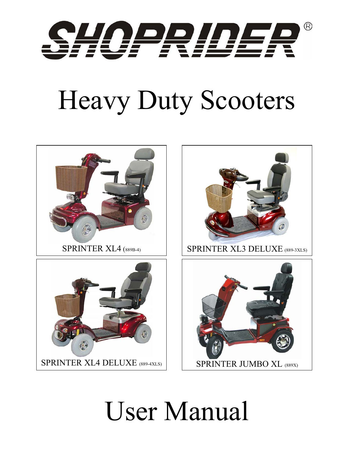

# Heavy Duty Scooters



## User Manual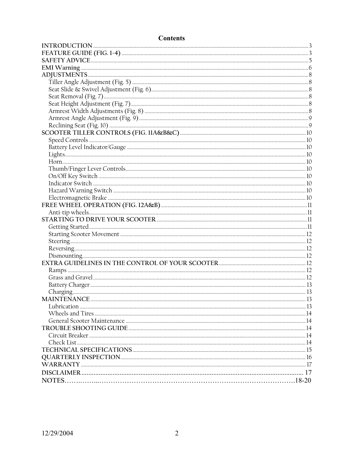## **Contents**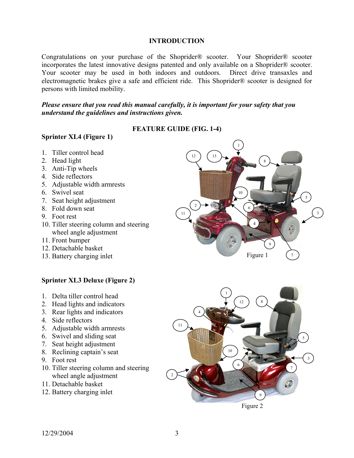## **INTRODUCTION**

Congratulations on your purchase of the Shoprider® scooter. Your Shoprider® scooter incorporates the latest innovative designs patented and only available on a Shoprider® scooter. Your scooter may be used in both indoors and outdoors. Direct drive transaxles and electromagnetic brakes give a safe and efficient ride. This Shoprider® scooter is designed for persons with limited mobility.

#### *Please ensure that you read this manual carefully, it is important for your safety that you understand the guidelines and instructions given.*

## **FEATURE GUIDE (FIG. 1-4)**

## **Sprinter XL4 (Figure 1)**

- 1. Tiller control head
- 2. Head light
- 3. Anti-Tip wheels
- 4. Side reflectors
- 5. Adjustable width armrests
- 6. Swivel seat
- 7. Seat height adjustment
- 8. Fold down seat
- 9. Foot rest
- 10. Tiller steering column and steering wheel angle adjustment
- 11. Front bumper
- 12. Detachable basket
- 13. Battery charging inlet

## **Sprinter XL3 Deluxe (Figure 2)**

- 1. Delta tiller control head
- 2. Head lights and indicators
- 3. Rear lights and indicators
- 4. Side reflectors
- 5. Adjustable width armrests
- 6. Swivel and sliding seat
- 7. Seat height adjustment
- 8. Reclining captain's seat
- 9. Foot rest
- 10. Tiller steering column and steering wheel angle adjustment
- 11. Detachable basket
- 12. Battery charging inlet



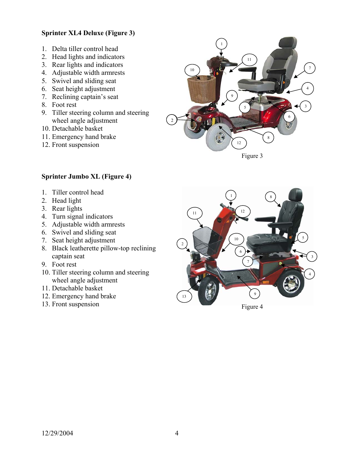## **Sprinter XL4 Deluxe (Figure 3)**

- 1. Delta tiller control head
- 2. Head lights and indicators
- 3. Rear lights and indicators
- 4. Adjustable width armrests
- 5. Swivel and sliding seat
- 6. Seat height adjustment
- 7. Reclining captain's seat
- 8. Foot rest
- 9. Tiller steering column and steering wheel angle adjustment
- 10. Detachable basket
- 11. Emergency hand brake
- 12. Front suspension



Figure 3

## **Sprinter Jumbo XL (Figure 4)**

- 1. Tiller control head
- 2. Head light
- 3. Rear lights
- 4. Turn signal indicators
- 5. Adjustable width armrests
- 6. Swivel and sliding seat
- 7. Seat height adjustment
- 8. Black leatherette pillow-top reclining captain seat
- 9. Foot rest
- 10. Tiller steering column and steering wheel angle adjustment
- 11. Detachable basket
- 12. Emergency hand brake
- 13. Front suspension

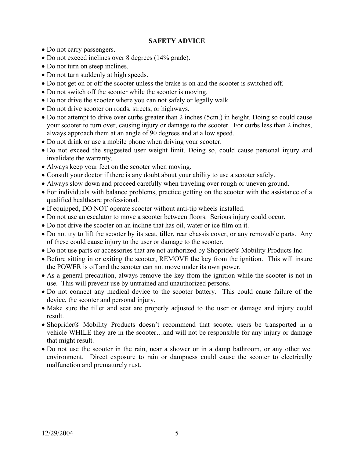## **SAFETY ADVICE**

- Do not carry passengers.
- Do not exceed inclines over 8 degrees (14% grade).
- Do not turn on steep inclines.
- Do not turn suddenly at high speeds.
- Do not get on or off the scooter unless the brake is on and the scooter is switched off.
- Do not switch off the scooter while the scooter is moving.
- Do not drive the scooter where you can not safely or legally walk.
- Do not drive scooter on roads, streets, or highways.
- Do not attempt to drive over curbs greater than 2 inches (5cm.) in height. Doing so could cause your scooter to turn over, causing injury or damage to the scooter. For curbs less than 2 inches, always approach them at an angle of 90 degrees and at a low speed.
- Do not drink or use a mobile phone when driving your scooter.
- Do not exceed the suggested user weight limit. Doing so, could cause personal injury and invalidate the warranty.
- Always keep your feet on the scooter when moving.
- Consult your doctor if there is any doubt about your ability to use a scooter safely.
- Always slow down and proceed carefully when traveling over rough or uneven ground.
- For individuals with balance problems, practice getting on the scooter with the assistance of a qualified healthcare professional.
- If equipped, DO NOT operate scooter without anti-tip wheels installed.
- Do not use an escalator to move a scooter between floors. Serious injury could occur.
- Do not drive the scooter on an incline that has oil, water or ice film on it.
- Do not try to lift the scooter by its seat, tiller, rear chassis cover, or any removable parts. Any of these could cause injury to the user or damage to the scooter.
- Do not use parts or accessories that are not authorized by Shoprider® Mobility Products Inc.
- Before sitting in or exiting the scooter, REMOVE the key from the ignition. This will insure the POWER is off and the scooter can not move under its own power.
- As a general precaution, always remove the key from the ignition while the scooter is not in use. This will prevent use by untrained and unauthorized persons.
- Do not connect any medical device to the scooter battery. This could cause failure of the device, the scooter and personal injury.
- Make sure the tiller and seat are properly adjusted to the user or damage and injury could result.
- Shoprider® Mobility Products doesn't recommend that scooter users be transported in a vehicle WHILE they are in the scooter…and will not be responsible for any injury or damage that might result.
- Do not use the scooter in the rain, near a shower or in a damp bathroom, or any other wet environment. Direct exposure to rain or dampness could cause the scooter to electrically malfunction and prematurely rust.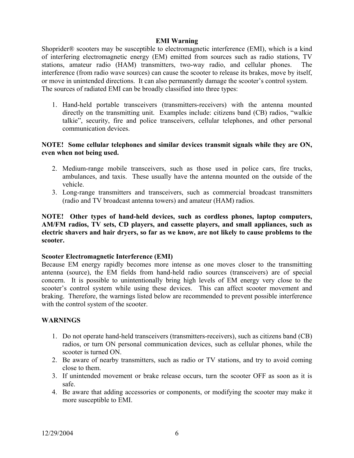#### **EMI Warning**

Shoprider® scooters may be susceptible to electromagnetic interference (EMI), which is a kind of interfering electromagnetic energy (EM) emitted from sources such as radio stations, TV stations, amateur radio (HAM) transmitters, two-way radio, and cellular phones. The interference (from radio wave sources) can cause the scooter to release its brakes, move by itself, or move in unintended directions. It can also permanently damage the scooter's control system. The sources of radiated EMI can be broadly classified into three types:

1. Hand-held portable transceivers (transmitters-receivers) with the antenna mounted directly on the transmitting unit. Examples include: citizens band (CB) radios, "walkie talkie", security, fire and police transceivers, cellular telephones, and other personal communication devices.

## **NOTE! Some cellular telephones and similar devices transmit signals while they are ON, even when not being used.**

- 2. Medium-range mobile transceivers, such as those used in police cars, fire trucks, ambulances, and taxis. These usually have the antenna mounted on the outside of the vehicle.
- 3. Long-range transmitters and transceivers, such as commercial broadcast transmitters (radio and TV broadcast antenna towers) and amateur (HAM) radios.

## **NOTE! Other types of hand-held devices, such as cordless phones, laptop computers, AM/FM radios, TV sets, CD players, and cassette players, and small appliances, such as electric shavers and hair dryers, so far as we know, are not likely to cause problems to the scooter.**

## **Scooter Electromagnetic Interference (EMI)**

Because EM energy rapidly becomes more intense as one moves closer to the transmitting antenna (source), the EM fields from hand-held radio sources (transceivers) are of special concern. It is possible to unintentionally bring high levels of EM energy very close to the scooter's control system while using these devices. This can affect scooter movement and braking. Therefore, the warnings listed below are recommended to prevent possible interference with the control system of the scooter.

## **WARNINGS**

- 1. Do not operate hand-held transceivers (transmitters-receivers), such as citizens band (CB) radios, or turn ON personal communication devices, such as cellular phones, while the scooter is turned ON.
- 2. Be aware of nearby transmitters, such as radio or TV stations, and try to avoid coming close to them.
- 3. If unintended movement or brake release occurs, turn the scooter OFF as soon as it is safe.
- 4. Be aware that adding accessories or components, or modifying the scooter may make it more susceptible to EMI.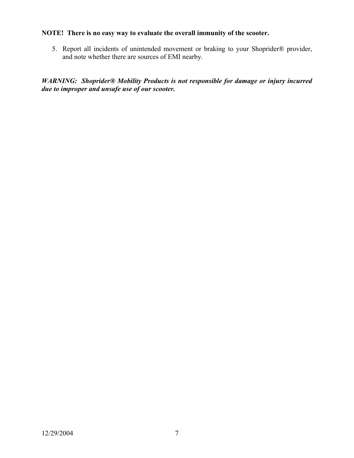## **NOTE! There is no easy way to evaluate the overall immunity of the scooter.**

5. Report all incidents of unintended movement or braking to your Shoprider® provider, and note whether there are sources of EMI nearby.

*WARNING: Shoprider® Mobility Products is not responsible for damage or injury incurred due to improper and unsafe use of our scooter.*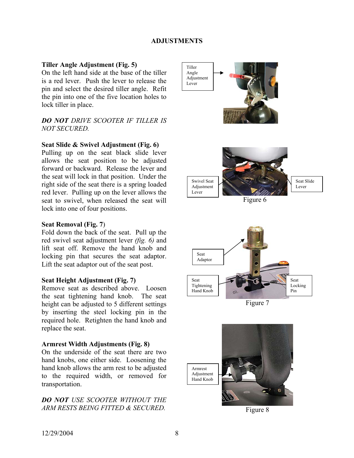#### **ADJUSTMENTS**

#### **Tiller Angle Adjustment (Fig. 5)**

On the left hand side at the base of the tiller is a red lever. Push the lever to release the pin and select the desired tiller angle. Refit the pin into one of the five location holes to lock tiller in place.

## *DO NOT DRIVE SCOOTER IF TILLER IS NOT SECURED.*

#### **Seat Slide & Swivel Adjustment (Fig. 6)**

Pulling up on the seat black slide lever allows the seat position to be adjusted forward or backward. Release the lever and the seat will lock in that position. Under the right side of the seat there is a spring loaded red lever. Pulling up on the lever allows the seat to swivel, when released the seat will lock into one of four positions.

#### **Seat Removal (Fig. 7**)

Fold down the back of the seat. Pull up the red swivel seat adjustment lever *(fig. 6)* and lift seat off. Remove the hand knob and locking pin that secures the seat adaptor. Lift the seat adaptor out of the seat post.

#### **Seat Height Adjustment (Fig. 7)**

Remove seat as described above. Loosen the seat tightening hand knob. The seat height can be adjusted to 5 different settings by inserting the steel locking pin in the required hole. Retighten the hand knob and replace the seat.

#### **Armrest Width Adjustments (Fig. 8)**

On the underside of the seat there are two hand knobs, one either side. Loosening the hand knob allows the arm rest to be adjusted to the required width, or removed for transportation.

#### *DO NOT USE SCOOTER WITHOUT THE ARM RESTS BEING FITTED & SECURED.*





Figure 7



Figure 8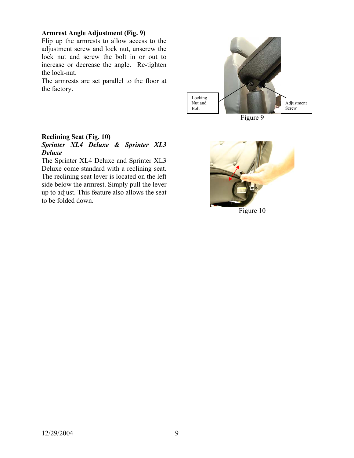#### **Armrest Angle Adjustment (Fig. 9)**

Flip up the armrests to allow access to the adjustment screw and lock nut, unscrew the lock nut and screw the bolt in or out to increase or decrease the angle. Re-tighten the lock-nut.

The armrests are set parallel to the floor at the factory.



Figure 9

#### **Reclining Seat (Fig. 10)**  *Sprinter XL4 Deluxe & Sprinter XL3 Deluxe*

The Sprinter XL4 Deluxe and Sprinter XL3 Deluxe come standard with a reclining seat. The reclining seat lever is located on the left side below the armrest. Simply pull the lever up to adjust. This feature also allows the seat to be folded down.



Figure 10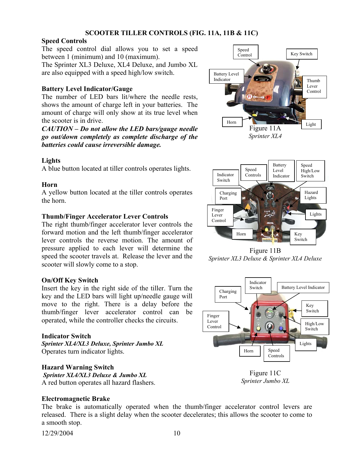## **SCOOTER TILLER CONTROLS (FIG. 11A, 11B & 11C)**

## **Speed Controls**

The speed control dial allows you to set a speed between 1 (minimum) and 10 (maximum).

The Sprinter XL3 Deluxe, XL4 Deluxe, and Jumbo XL are also equipped with a speed high/low switch.

## **Battery Level Indicator/Gauge**

The number of LED bars lit/where the needle rests, shows the amount of charge left in your batteries. The amount of charge will only show at its true level when the scooter is in drive.

*CAUTION – Do not allow the LED bars/gauge needle go out/down completely as complete discharge of the batteries could cause irreversible damage.* 

## **Lights**

A blue button located at tiller controls operates lights.

## **Horn**

A yellow button located at the tiller controls operates the horn.

## **Thumb/Finger Accelerator Lever Controls**

The right thumb/finger accelerator lever controls the forward motion and the left thumb/finger accelerator lever controls the reverse motion. The amount of pressure applied to each lever will determine the speed the scooter travels at. Release the lever and the scooter will slowly come to a stop.

## **On/Off Key Switch**

Insert the key in the right side of the tiller. Turn the key and the LED bars will light up/needle gauge will move to the right. There is a delay before the thumb/finger lever accelerator control can be operated, while the controller checks the circuits.

## **Indicator Switch**

*Sprinter XL4/XL3 Deluxe, Sprinter Jumbo XL* Operates turn indicator lights.

## **Hazard Warning Switch**

 *Sprinter XL4/XL3 Deluxe & Jumbo XL*  A red button operates all hazard flashers.

## **Electromagnetic Brake**

The brake is automatically operated when the thumb/finger accelerator control levers are released. There is a slight delay when the scooter decelerates; this allows the scooter to come to a smooth stop.







Figure 11B *Sprinter XL3 Deluxe & Sprinter XL4 Deluxe* 



Figure 11C *Sprinter Jumbo XL*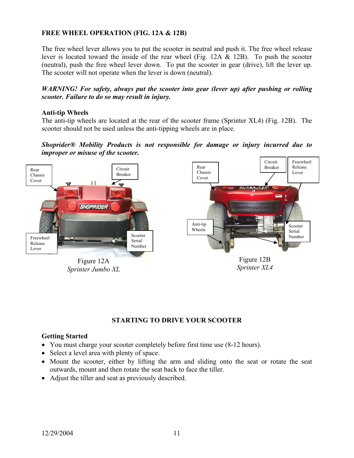## **FREE WHEEL OPERATION (FIG. 12A & 12B)**

The free wheel lever allows you to put the scooter in neutral and push it. The free wheel release lever is located toward the inside of the rear wheel (Fig. 12A & 12B). To push the scooter (neutral), push the free wheel lever down. To put the scooter in gear (drive), lift the lever up. The scooter will not operate when the lever is down (neutral).

#### *WARNING! For safety, always put the scooter into gear (lever up) after pushing or rolling scooter. Failure to do so may result in injury.*

## **Anti-tip Wheels**

The anti-tip wheels are located at the rear of the scooter frame (Sprinter XL4) (Fig. 12B). The scooter should not be used unless the anti-tipping wheels are in place.

*Shoprider® Mobility Products is not responsible for damage or injury incurred due to improper or misuse of the scooter.* 



*Sprinter Jumbo XL* 



#### **STARTING TO DRIVE YOUR SCOOTER**

#### **Getting Started**

- You must charge your scooter completely before first time use  $(8-12$  hours).
- Select a level area with plenty of space.
- Mount the scooter, either by lifting the arm and sliding onto the seat or rotate the seat outwards, mount and then rotate the seat back to face the tiller.
- Adjust the tiller and seat as previously described.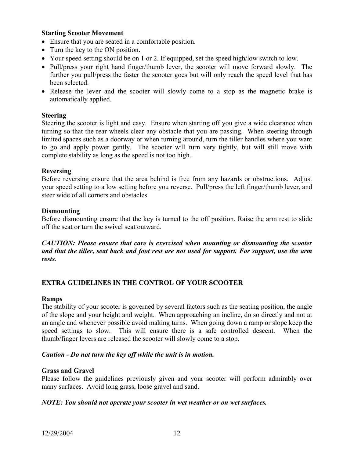#### **Starting Scooter Movement**

- Ensure that you are seated in a comfortable position.
- Turn the key to the ON position.
- Your speed setting should be on 1 or 2. If equipped, set the speed high/low switch to low.
- Pull/press your right hand finger/thumb lever, the scooter will move forward slowly. The further you pull/press the faster the scooter goes but will only reach the speed level that has been selected.
- Release the lever and the scooter will slowly come to a stop as the magnetic brake is automatically applied.

#### **Steering**

Steering the scooter is light and easy. Ensure when starting off you give a wide clearance when turning so that the rear wheels clear any obstacle that you are passing. When steering through limited spaces such as a doorway or when turning around, turn the tiller handles where you want to go and apply power gently. The scooter will turn very tightly, but will still move with complete stability as long as the speed is not too high.

#### **Reversing**

Before reversing ensure that the area behind is free from any hazards or obstructions. Adjust your speed setting to a low setting before you reverse. Pull/press the left finger/thumb lever, and steer wide of all corners and obstacles.

#### **Dismounting**

Before dismounting ensure that the key is turned to the off position. Raise the arm rest to slide off the seat or turn the swivel seat outward.

*CAUTION: Please ensure that care is exercised when mounting or dismounting the scooter and that the tiller, seat back and foot rest are not used for support. For support, use the arm rests.* 

#### **EXTRA GUIDELINES IN THE CONTROL OF YOUR SCOOTER**

#### **Ramps**

The stability of your scooter is governed by several factors such as the seating position, the angle of the slope and your height and weight. When approaching an incline, do so directly and not at an angle and whenever possible avoid making turns. When going down a ramp or slope keep the speed settings to slow. This will ensure there is a safe controlled descent. When the thumb/finger levers are released the scooter will slowly come to a stop.

#### *Caution - Do not turn the key off while the unit is in motion.*

#### **Grass and Gravel**

Please follow the guidelines previously given and your scooter will perform admirably over many surfaces. Avoid long grass, loose gravel and sand.

#### *NOTE: You should not operate your scooter in wet weather or on wet surfaces.*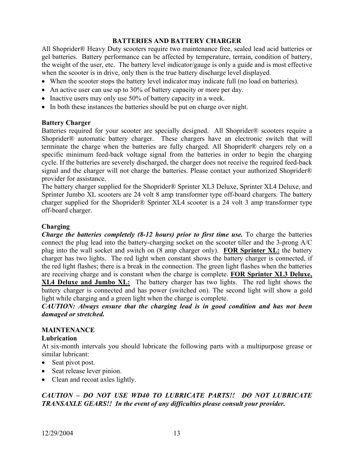## **BATTERIES AND BATTERY CHARGER**

All Shoprider® Heavy Duty scooters require two maintenance free, sealed lead acid batteries or gel batteries. Battery performance can be affected by temperature, terrain, condition of battery, the weight of the user, etc. The battery level indicator/gauge is only a guide and is most effective when the scooter is in drive, only then is the true battery discharge level displayed.

- When the scooter stops the battery level indicator may indicate full (no load on batteries).
- An active user can use up to 30% of battery capacity or more per day.
- Inactive users may only use 50% of battery capacity in a week.
- In both these instances the batteries should be put on charge over night.

## **Battery Charger**

Batteries required for your scooter are specially designed. All Shoprider® scooters require a Shoprider® automatic battery charger. These chargers have an electronic switch that will terminate the charge when the batteries are fully charged. All Shoprider® chargers rely on a specific minimum feed-back voltage signal from the batteries in order to begin the charging cycle. If the batteries are severely discharged, the charger does not receive the required feed-back signal and the charger will not charge the batteries. Please contact your authorized Shoprider® provider for assistance.

The battery charger supplied for the Shoprider® Sprinter XL3 Deluxe, Sprinter XL4 Deluxe, and Sprinter Jumbo XL scooters are 24 volt 8 amp transformer type off-board chargers. The battery charger supplied for the Shoprider® Sprinter XL4 scooter is a 24 volt 3 amp transformer type off-board charger.

## **Charging**

*Charge the batteries completely (8-12 hours) prior to first time use.* To charge the batteries connect the plug lead into the battery-charging socket on the scooter tiller and the 3-prong A/C plug into the wall socket and switch on (8 amp charger only). **FOR Sprinter XL:** the battery charger has two lights. The red light when constant shows the battery charger is connected, if the red light flashes; there is a break in the connection. The green light flashes when the batteries are receiving charge and is constant when the charge is complete. **FOR Sprinter XL3 Deluxe, XL4 Deluxe and Jumbo XL:** The battery charger has two lights. The red light shows the battery charger is connected and has power (switched on). The second light will show a gold light while charging and a green light when the charge is complete.

*CAUTION: Always ensure that the charging lead is in good condition and has not been damaged or stretched.* 

## **MAINTENANCE**

## **Lubrication**

At six-month intervals you should lubricate the following parts with a multipurpose grease or similar lubricant:

- Seat pivot post.
- Seat release lever pinion.
- Clean and recoat axles lightly.

## *CAUTION – DO NOT USE WD40 TO LUBRICATE PARTS!! DO NOT LUBRICATE TRANSAXLE GEARS!! In the event of any difficulties please consult your provider.*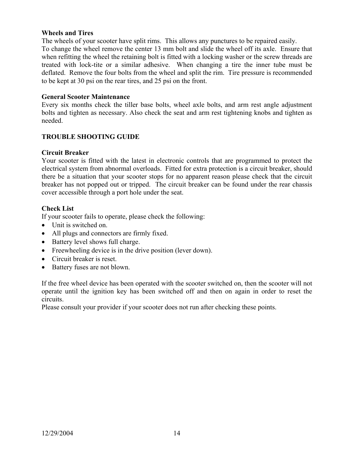#### **Wheels and Tires**

The wheels of your scooter have split rims. This allows any punctures to be repaired easily. To change the wheel remove the center 13 mm bolt and slide the wheel off its axle. Ensure that when refitting the wheel the retaining bolt is fitted with a locking washer or the screw threads are treated with lock-tite or a similar adhesive. When changing a tire the inner tube must be deflated. Remove the four bolts from the wheel and split the rim. Tire pressure is recommended to be kept at 30 psi on the rear tires, and 25 psi on the front.

#### **General Scooter Maintenance**

Every six months check the tiller base bolts, wheel axle bolts, and arm rest angle adjustment bolts and tighten as necessary. Also check the seat and arm rest tightening knobs and tighten as needed.

#### **TROUBLE SHOOTING GUIDE**

#### **Circuit Breaker**

Your scooter is fitted with the latest in electronic controls that are programmed to protect the electrical system from abnormal overloads. Fitted for extra protection is a circuit breaker, should there be a situation that your scooter stops for no apparent reason please check that the circuit breaker has not popped out or tripped. The circuit breaker can be found under the rear chassis cover accessible through a port hole under the seat.

#### **Check List**

If your scooter fails to operate, please check the following:

- Unit is switched on.
- All plugs and connectors are firmly fixed.
- Battery level shows full charge.
- Freewheeling device is in the drive position (lever down).
- Circuit breaker is reset.
- Battery fuses are not blown.

If the free wheel device has been operated with the scooter switched on, then the scooter will not operate until the ignition key has been switched off and then on again in order to reset the circuits.

Please consult your provider if your scooter does not run after checking these points.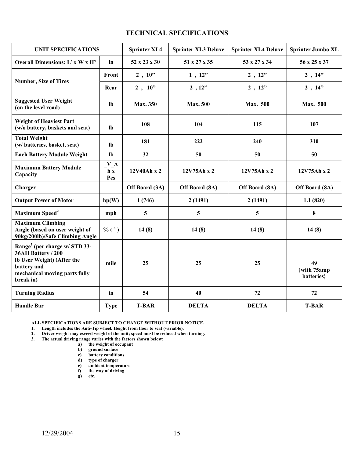#### **TECHNICAL SPECIFICATIONS**

| <b>UNIT SPECIFICATIONS</b>                                                                                                                                 |                                         | <b>Sprinter XL4</b> | <b>Sprinter XL3 Deluxe</b> | <b>Sprinter XL4 Deluxe</b> | <b>Sprinter Jumbo XL</b>        |
|------------------------------------------------------------------------------------------------------------------------------------------------------------|-----------------------------------------|---------------------|----------------------------|----------------------------|---------------------------------|
| Overall Dimensions: L <sup>1</sup> x W x H <sup>1</sup>                                                                                                    | in                                      | 52 x 23 x 30        | 51 x 27 x 35               | 53 x 27 x 34               | 56 x 25 x 37                    |
| <b>Number, Size of Tires</b>                                                                                                                               | <b>Front</b>                            | 2, 10"              | 1, 12"                     | 2, 12"                     | 2, 14"                          |
|                                                                                                                                                            | Rear                                    | $2, 10$ "           | 2, 12"                     | 2, 12"                     | 2, 14"                          |
| <b>Suggested User Weight</b><br>(on the level road)                                                                                                        | <b>lb</b>                               | <b>Max. 350</b>     | <b>Max. 500</b>            | <b>Max.</b> 500            | <b>Max. 500</b>                 |
| <b>Weight of Heaviest Part</b><br>(w/o battery, baskets and seat)                                                                                          | $\mathbf{lb}$                           | 108                 | 104                        | 115                        | 107                             |
| <b>Total Weight</b><br>(w/ batteries, basket, seat)                                                                                                        | lb                                      | 181                 | 222                        | 240                        | 310                             |
| <b>Each Battery Module Weight</b>                                                                                                                          | $\mathbf{lb}$                           | 32                  | 50                         | 50                         | 50                              |
| <b>Maximum Battery Module</b><br>Capacity                                                                                                                  | $V_A$<br>$\mathbf{h} \mathbf{x}$<br>Pcs | 12V40Ah x 2         | 12V75Ah x 2                | 12V75Ah x 2                | 12V75Ah x 2                     |
| Charger                                                                                                                                                    |                                         | Off Board (3A)      | Off Board (8A)             | Off Board (8A)             | Off Board (8A)                  |
| <b>Output Power of Motor</b>                                                                                                                               | hp(W)                                   | 1(746)              | 2(1491)                    | 2(1491)                    | 1.1(820)                        |
| Maximum Speed <sup>2</sup>                                                                                                                                 | mph                                     | $5\phantom{.0}$     | 5                          | 5                          | 8                               |
| <b>Maximum Climbing</b><br>Angle (based on user weight of<br>90kg/200lb)/Safe Climbing Angle                                                               | % $(^{\circ})$                          | 14(8)               | 14(8)                      | 14(8)                      | 14(8)                           |
| Range <sup>3</sup> (per charge w/ STD 33-<br>36AH Battery / 200<br>Ib User Weight) (After the<br>battery and<br>mechanical moving parts fully<br>break in) | mile                                    | 25                  | 25                         | 25                         | 49<br>{with 75amp<br>batteries} |
| <b>Turning Radius</b>                                                                                                                                      | in                                      | 54                  | 40                         | 72                         | 72                              |
| <b>Handle Bar</b>                                                                                                                                          | <b>Type</b>                             | <b>T-BAR</b>        | <b>DELTA</b>               | <b>DELTA</b>               | <b>T-BAR</b>                    |

**ALL SPECIFICATIONS ARE SUBJECT TO CHANGE WITHOUT PRIOR NOTICE.** 

**1. Length includes the Anti-Tip wheel. Height from floor to seat (variable).** 

**2. Driver weight may exceed weight of the unit; speed must be reduced when turning.** 

**3. The actual driving range varies with the factors shown below:** 

**a) the weight of occupant** 

- **b) ground surface**
- **c) battery conditions**

**d) type of charger** 

**e) ambient temperature** 

**f) the way of driving** 

**g) etc.**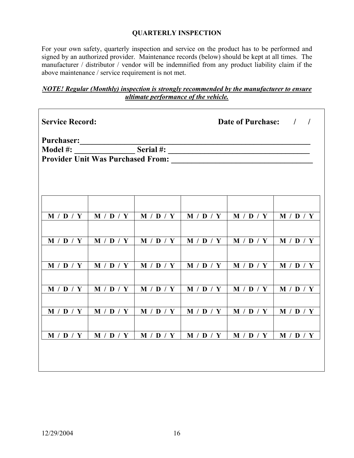## **QUARTERLY INSPECTION**

For your own safety, quarterly inspection and service on the product has to be performed and signed by an authorized provider. Maintenance records (below) should be kept at all times. The manufacturer / distributor / vendor will be indemnified from any product liability claim if the above maintenance / service requirement is not met.

## *NOTE! Regular (Monthly) inspection is strongly recommended by the manufacturer to ensure ultimate performance of the vehicle.*

| <b>Service Record:</b> |           |           | <b>Date of Purchase:</b> |           |           |  |  |  |
|------------------------|-----------|-----------|--------------------------|-----------|-----------|--|--|--|
|                        |           |           |                          |           |           |  |  |  |
| Model #:               |           | Serial #: |                          |           |           |  |  |  |
|                        |           |           |                          |           |           |  |  |  |
|                        |           |           |                          |           |           |  |  |  |
|                        |           |           |                          |           |           |  |  |  |
| M / D / Y              | M / D / Y | M / D / Y | M / D / Y                | M / D / Y | M / D / Y |  |  |  |
|                        |           |           |                          |           |           |  |  |  |
| M / D / Y              | M / D / Y | M / D / Y | M / D / Y                | M / D / Y | M / D / Y |  |  |  |
|                        |           |           |                          |           |           |  |  |  |
| M / D / Y              | M / D / Y | M / D / Y | M / D / Y                | M / D / Y | M / D / Y |  |  |  |
|                        |           |           |                          |           |           |  |  |  |
| M / D / Y              | M / D / Y | M / D / Y | M / D / Y                | M / D / Y | M / D / Y |  |  |  |
|                        |           |           |                          |           |           |  |  |  |
| M / D / Y              | M / D / Y | M / D / Y | M / D / Y                | M / D / Y | M / D / Y |  |  |  |
|                        |           |           |                          |           |           |  |  |  |
| M / D / Y              | M / D / Y | M / D / Y | M / D / Y                | M / D / Y | M / D / Y |  |  |  |
|                        |           |           |                          |           |           |  |  |  |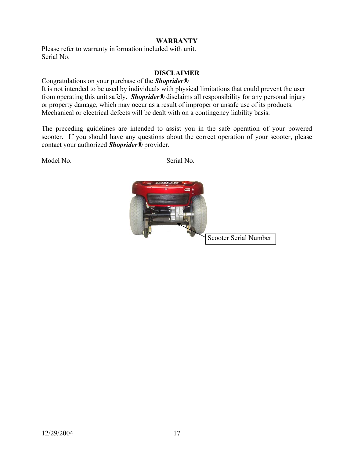## **WARRANTY**

Please refer to warranty information included with unit. Serial No.

#### **DISCLAIMER**

Congratulations on your purchase of the *Shoprider®*

It is not intended to be used by individuals with physical limitations that could prevent the user from operating this unit safely. *Shoprider®* disclaims all responsibility for any personal injury or property damage, which may occur as a result of improper or unsafe use of its products. Mechanical or electrical defects will be dealt with on a contingency liability basis.

The preceding guidelines are intended to assist you in the safe operation of your powered scooter. If you should have any questions about the correct operation of your scooter, please contact your authorized *Shoprider®* provider.

Model No. Serial No.

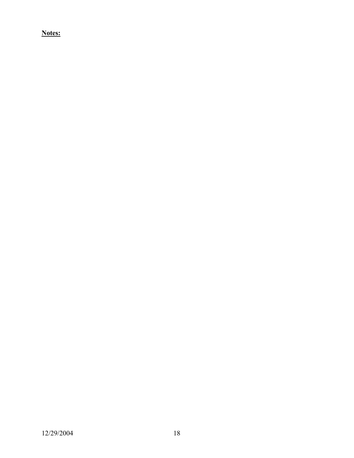**Notes:**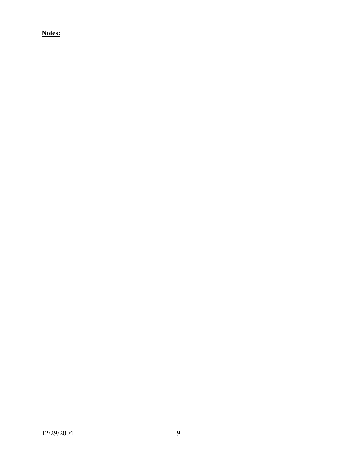**Notes:**